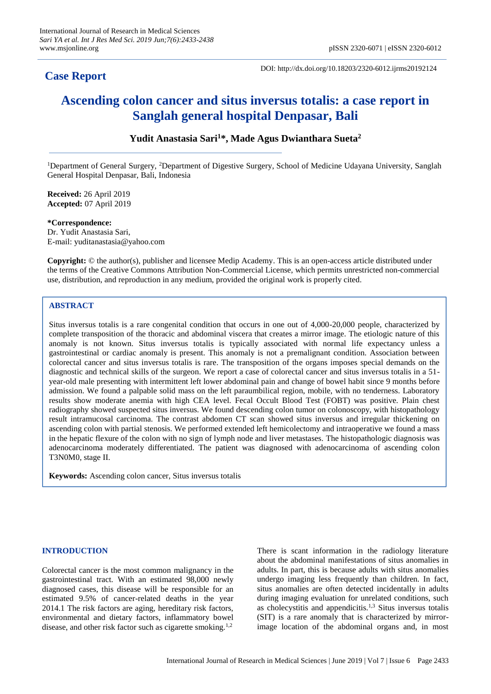## **Case Report**

DOI: http://dx.doi.org/10.18203/2320-6012.ijrms20192124

# **Ascending colon cancer and situs inversus totalis: a case report in Sanglah general hospital Denpasar, Bali**

## **Yudit Anastasia Sari<sup>1</sup>\*, Made Agus Dwianthara Sueta<sup>2</sup>**

<sup>1</sup>Department of General Surgery, <sup>2</sup>Department of Digestive Surgery, School of Medicine Udayana University, Sanglah General Hospital Denpasar, Bali, Indonesia

**Received:** 26 April 2019 **Accepted:** 07 April 2019

**\*Correspondence:** Dr. Yudit Anastasia Sari, E-mail: yuditanastasia@yahoo.com

**Copyright:** © the author(s), publisher and licensee Medip Academy. This is an open-access article distributed under the terms of the Creative Commons Attribution Non-Commercial License, which permits unrestricted non-commercial use, distribution, and reproduction in any medium, provided the original work is properly cited.

## **ABSTRACT**

Situs inversus totalis is a rare congenital condition that occurs in one out of 4,000-20,000 people, characterized by complete transposition of the thoracic and abdominal viscera that creates a mirror image. The etiologic nature of this anomaly is not known. Situs inversus totalis is typically associated with normal life expectancy unless a gastrointestinal or cardiac anomaly is present. This anomaly is not a premalignant condition. Association between colorectal cancer and situs inversus totalis is rare. The transposition of the organs imposes special demands on the diagnostic and technical skills of the surgeon. We report a case of colorectal cancer and situs inversus totalis in a 51 year-old male presenting with intermittent left lower abdominal pain and change of bowel habit since 9 months before admission. We found a palpable solid mass on the left paraumbilical region, mobile, with no tenderness. Laboratory results show moderate anemia with high CEA level. Fecal Occult Blood Test (FOBT) was positive. Plain chest radiography showed suspected situs inversus. We found descending colon tumor on colonoscopy, with histopathology result intramucosal carcinoma. The contrast abdomen CT scan showed situs inversus and irregular thickening on ascending colon with partial stenosis. We performed extended left hemicolectomy and intraoperative we found a mass in the hepatic flexure of the colon with no sign of lymph node and liver metastases. The histopathologic diagnosis was adenocarcinoma moderately differentiated. The patient was diagnosed with adenocarcinoma of ascending colon T3N0M0, stage II.

**Keywords:** Ascending colon cancer, Situs inversus totalis

## **INTRODUCTION**

Colorectal cancer is the most common malignancy in the gastrointestinal tract. With an estimated 98,000 newly diagnosed cases, this disease will be responsible for an estimated 9.5% of cancer-related deaths in the year 2014.1 The risk factors are aging, hereditary risk factors, environmental and dietary factors, inflammatory bowel disease, and other risk factor such as cigarette smoking.<sup>1,2</sup>

There is scant information in the radiology literature about the abdominal manifestations of situs anomalies in adults. In part, this is because adults with situs anomalies undergo imaging less frequently than children. In fact, situs anomalies are often detected incidentally in adults during imaging evaluation for unrelated conditions, such as cholecystitis and appendicitis.1,3 Situs inversus totalis (SIT) is a rare anomaly that is characterized by mirrorimage location of the abdominal organs and, in most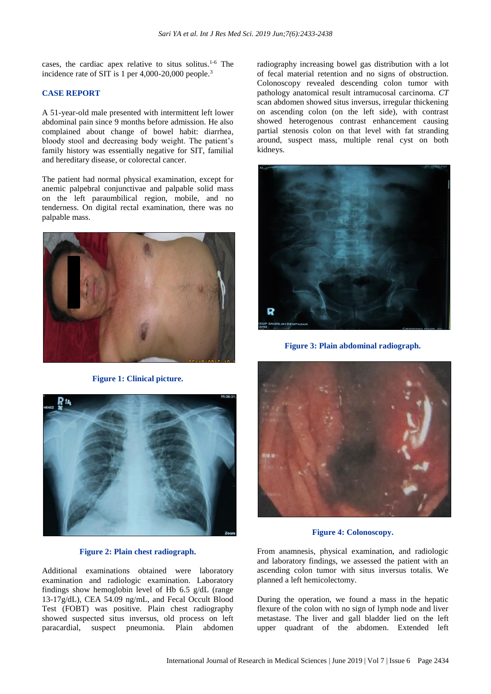cases, the cardiac apex relative to situs solitus.1-6 The incidence rate of SIT is 1 per 4,000-20,000 people.<sup>3</sup>

## **CASE REPORT**

A 51-year-old male presented with intermittent left lower abdominal pain since 9 months before admission. He also complained about change of bowel habit: diarrhea, bloody stool and decreasing body weight. The patient's family history was essentially negative for SIT, familial and hereditary disease, or colorectal cancer.

The patient had normal physical examination, except for anemic palpebral conjunctivae and palpable solid mass on the left paraumbilical region, mobile, and no tenderness. On digital rectal examination, there was no palpable mass.



**Figure 1: Clinical picture.**



#### **Figure 2: Plain chest radiograph.**

Additional examinations obtained were laboratory examination and radiologic examination. Laboratory findings show hemoglobin level of Hb 6.5 g/dL (range 13-17g/dL), CEA 54.09 ng/mL, and Fecal Occult Blood Test (FOBT) was positive. Plain chest radiography showed suspected situs inversus, old process on left paracardial, suspect pneumonia. Plain abdomen radiography increasing bowel gas distribution with a lot of fecal material retention and no signs of obstruction. Colonoscopy revealed descending colon tumor with pathology anatomical result intramucosal carcinoma. *CT* scan abdomen showed situs inversus, irregular thickening on ascending colon (on the left side), with contrast showed heterogenous contrast enhancement causing partial stenosis colon on that level with fat stranding around, suspect mass, multiple renal cyst on both kidneys.



**Figure 3: Plain abdominal radiograph.**



**Figure 4: Colonoscopy.**

From anamnesis, physical examination, and radiologic and laboratory findings, we assessed the patient with an ascending colon tumor with situs inversus totalis. We planned a left hemicolectomy.

During the operation, we found a mass in the hepatic flexure of the colon with no sign of lymph node and liver metastase. The liver and gall bladder lied on the left upper quadrant of the abdomen. Extended left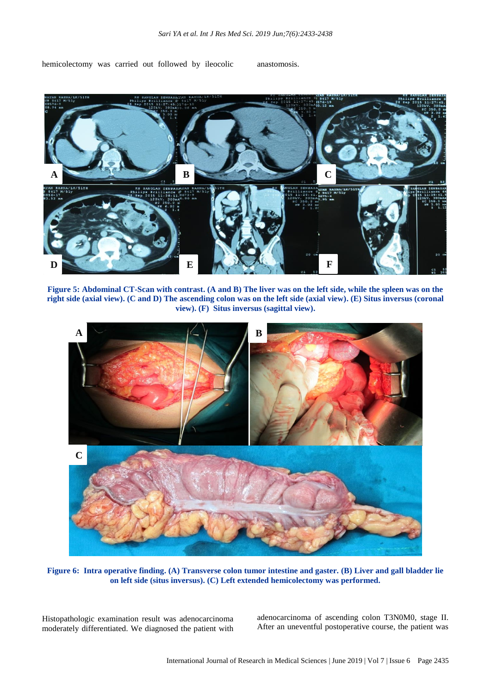hemicolectomy was carried out followed by ileocolic anastomosis.



**Figure 5: Abdominal CT-Scan with contrast. (A and B) The liver was on the left side, while the spleen was on the right side (axial view). (C and D) The ascending colon was on the left side (axial view). (E) Situs inversus (coronal view). (F) Situs inversus (sagittal view).**



**Figure 6: Intra operative finding. (A) Transverse colon tumor intestine and gaster. (B) Liver and gall bladder lie on left side (situs inversus). (C) Left extended hemicolectomy was performed.**

Histopathologic examination result was adenocarcinoma moderately differentiated. We diagnosed the patient with adenocarcinoma of ascending colon T3N0M0, stage II. After an uneventful postoperative course, the patient was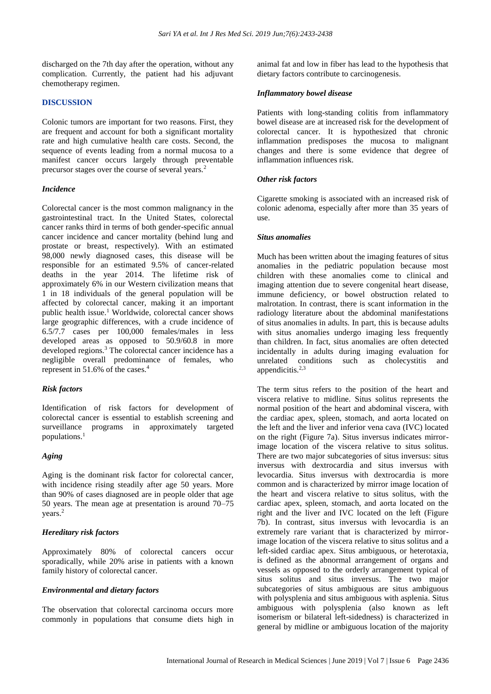discharged on the 7th day after the operation, without any complication. Currently, the patient had his adjuvant chemotherapy regimen.

## **DISCUSSION**

Colonic tumors are important for two reasons. First, they are frequent and account for both a significant mortality rate and high cumulative health care costs. Second, the sequence of events leading from a normal mucosa to a manifest cancer occurs largely through preventable precursor stages over the course of several years.<sup>2</sup>

#### *Incidence*

Colorectal cancer is the most common malignancy in the gastrointestinal tract. In the United States, colorectal cancer ranks third in terms of both gender-specific annual cancer incidence and cancer mortality (behind lung and prostate or breast, respectively). With an estimated 98,000 newly diagnosed cases, this disease will be responsible for an estimated 9.5% of cancer-related deaths in the year 2014. The lifetime risk of approximately 6% in our Western civilization means that 1 in 18 individuals of the general population will be affected by colorectal cancer, making it an important public health issue.<sup>1</sup> Worldwide, colorectal cancer shows large geographic differences, with a crude incidence of 6.5/7.7 cases per 100,000 females/males in less developed areas as opposed to 50.9/60.8 in more developed regions.<sup>3</sup> The colorectal cancer incidence has a negligible overall predominance of females, who represent in 51.6% of the cases.<sup>4</sup>

#### *Risk factors*

Identification of risk factors for development of colorectal cancer is essential to establish screening and surveillance programs in approximately targeted populations.<sup>1</sup>

### *Aging*

Aging is the dominant risk factor for colorectal cancer, with incidence rising steadily after age 50 years. More than 90% of cases diagnosed are in people older that age 50 years. The mean age at presentation is around 70–75 years.<sup>2</sup>

### *Hereditary risk factors*

Approximately 80% of colorectal cancers occur sporadically, while 20% arise in patients with a known family history of colorectal cancer.

## *Environmental and dietary factors*

The observation that colorectal carcinoma occurs more commonly in populations that consume diets high in animal fat and low in fiber has lead to the hypothesis that dietary factors contribute to carcinogenesis.

#### *Inflammatory bowel disease*

Patients with long-standing colitis from inflammatory bowel disease are at increased risk for the development of colorectal cancer. It is hypothesized that chronic inflammation predisposes the mucosa to malignant changes and there is some evidence that degree of inflammation influences risk.

## *Other risk factors*

Cigarette smoking is associated with an increased risk of colonic adenoma, especially after more than 35 years of use.

#### *Situs anomalies*

Much has been written about the imaging features of situs anomalies in the pediatric population because most children with these anomalies come to clinical and imaging attention due to severe congenital heart disease, immune deficiency, or bowel obstruction related to malrotation. In contrast, there is scant information in the radiology literature about the abdominal manifestations of situs anomalies in adults. In part, this is because adults with situs anomalies undergo imaging less frequently than children. In fact, situs anomalies are often detected incidentally in adults during imaging evaluation for unrelated conditions such as cholecystitis and appendicitis. $2,3$ 

The term situs refers to the position of the heart and viscera relative to midline. Situs solitus represents the normal position of the heart and abdominal viscera, with the cardiac apex, spleen, stomach, and aorta located on the left and the liver and inferior vena cava (IVC) located on the right (Figure 7a). Situs inversus indicates mirrorimage location of the viscera relative to situs solitus. There are two major subcategories of situs inversus: situs inversus with dextrocardia and situs inversus with levocardia. Situs inversus with dextrocardia is more common and is characterized by mirror image location of the heart and viscera relative to situs solitus, with the cardiac apex, spleen, stomach, and aorta located on the right and the liver and IVC located on the left (Figure 7b). In contrast, situs inversus with levocardia is an extremely rare variant that is characterized by mirrorimage location of the viscera relative to situs solitus and a left-sided cardiac apex. Situs ambiguous, or heterotaxia, is defined as the abnormal arrangement of organs and vessels as opposed to the orderly arrangement typical of situs solitus and situs inversus. The two major subcategories of situs ambiguous are situs ambiguous with polysplenia and situs ambiguous with asplenia. Situs ambiguous with polysplenia (also known as left isomerism or bilateral left-sidedness) is characterized in general by midline or ambiguous location of the majority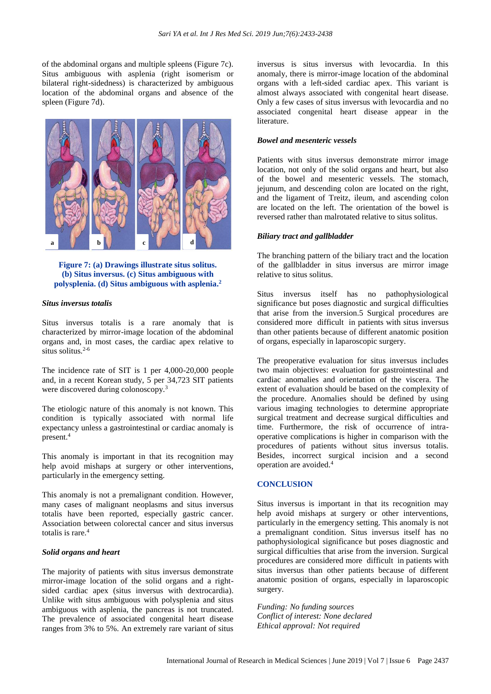of the abdominal organs and multiple spleens (Figure 7c). Situs ambiguous with asplenia (right isomerism or bilateral right-sidedness) is characterized by ambiguous location of the abdominal organs and absence of the spleen (Figure 7d).



**Figure 7: (a) Drawings illustrate situs solitus. (b) Situs inversus. (c) Situs ambiguous with polysplenia. (d) Situs ambiguous with asplenia. 2**

## *Situs inversus totalis*

Situs inversus totalis is a rare anomaly that is characterized by mirror-image location of the abdominal organs and, in most cases, the cardiac apex relative to situs solitus.<sup>2-6</sup>

The incidence rate of SIT is 1 per 4,000-20,000 people and, in a recent Korean study, 5 per 34,723 SIT patients were discovered during colonoscopy.<sup>3</sup>

The etiologic nature of this anomaly is not known. This condition is typically associated with normal life expectancy unless a gastrointestinal or cardiac anomaly is present.<sup>4</sup>

This anomaly is important in that its recognition may help avoid mishaps at surgery or other interventions, particularly in the emergency setting.

This anomaly is not a premalignant condition. However, many cases of malignant neoplasms and situs inversus totalis have been reported, especially gastric cancer. Association between colorectal cancer and situs inversus totalis is rare.<sup>4</sup>

#### *Solid organs and heart*

The majority of patients with situs inversus demonstrate mirror-image location of the solid organs and a rightsided cardiac apex (situs inversus with dextrocardia). Unlike with situs ambiguous with polysplenia and situs ambiguous with asplenia, the pancreas is not truncated. The prevalence of associated congenital heart disease ranges from 3% to 5%. An extremely rare variant of situs inversus is situs inversus with levocardia. In this anomaly, there is mirror-image location of the abdominal organs with a left-sided cardiac apex. This variant is almost always associated with congenital heart disease. Only a few cases of situs inversus with levocardia and no associated congenital heart disease appear in the literature.

## *Bowel and mesenteric vessels*

Patients with situs inversus demonstrate mirror image location, not only of the solid organs and heart, but also of the bowel and mesenteric vessels. The stomach, jejunum, and descending colon are located on the right, and the ligament of Treitz, ileum, and ascending colon are located on the left. The orientation of the bowel is reversed rather than malrotated relative to situs solitus.

#### *Biliary tract and gallbladder*

The branching pattern of the biliary tract and the location of the gallbladder in situs inversus are mirror image relative to situs solitus.

Situs inversus itself has no pathophysiological significance but poses diagnostic and surgical difficulties that arise from the inversion.5 Surgical procedures are considered more difficult in patients with situs inversus than other patients because of different anatomic position of organs, especially in laparoscopic surgery.

The preoperative evaluation for situs inversus includes two main objectives: evaluation for gastrointestinal and cardiac anomalies and orientation of the viscera. The extent of evaluation should be based on the complexity of the procedure. Anomalies should be defined by using various imaging technologies to determine appropriate surgical treatment and decrease surgical difficulties and time. Furthermore, the risk of occurrence of intraoperative complications is higher in comparison with the procedures of patients without situs inversus totalis. Besides, incorrect surgical incision and a second operation are avoided.<sup>4</sup>

### **CONCLUSION**

Situs inversus is important in that its recognition may help avoid mishaps at surgery or other interventions, particularly in the emergency setting. This anomaly is not a premalignant condition. Situs inversus itself has no pathophysiological significance but poses diagnostic and surgical difficulties that arise from the inversion. Surgical procedures are considered more difficult in patients with situs inversus than other patients because of different anatomic position of organs, especially in laparoscopic surgery.

*Funding: No funding sources Conflict of interest: None declared Ethical approval: Not required*